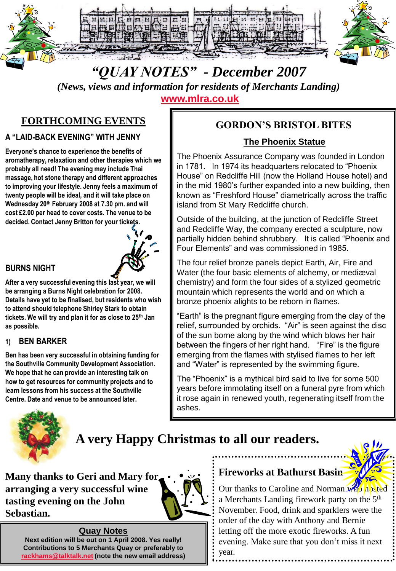

# *"QUAY NOTES" - December 2007*

*(News, views and information for residents of Merchants Landing)*  **[www.mlra.co.uk](http://www.mlra.co.uk/)**

# **FORTHCOMING EVENTS**

#### **A "LAID-BACK EVENING" WITH JENNY**

**Everyone's chance to experience the benefits of aromatherapy, relaxation and other therapies which we probably all need! The evening may include Thai massage, hot stone therapy and different approaches to improving your lifestyle. Jenny feels a maximum of twenty people will be ideal, and it will take place on Wednesday 20th February 2008 at 7.30 pm. and will cost £2.00 per head to cover costs. The venue to be decided. Contact Jenny Britton for your tickets.**



#### **BURNS NIGHT**

**After a very successful evening this last year, we will be arranging a Burns Night celebration for 2008. Details have yet to be finalised, but residents who wish to attend should telephone Shirley Stark to obtain tickets. We will try and plan it for as close to 25th Jan as possible.**

#### **1) BEN BARKER**

**Ben has been very successful in obtaining funding for the Southville Community Development Association. We hope that he can provide an interesting talk on how to get resources for community projects and to learn lessons from his success at the Southville Centre. Date and venue to be announced later.**

# **GORDON'S BRISTOL BITES**

#### **The Phoenix Statue**

The Phoenix Assurance Company was founded in London in 1781. In 1974 its headquarters relocated to "Phoenix House" on Redcliffe Hill (now the Holland House hotel) and in the mid 1980's further expanded into a new building, then known as "Freshford House" diametrically across the traffic island from St Mary Redcliffe church.

Outside of the building, at the junction of Redcliffe Street and Redcliffe Way, the company erected a sculpture, now partially hidden behind shrubbery. It is called "Phoenix and Four Elements" and was commissioned in 1985.

The four relief bronze panels depict Earth, Air, Fire and Water (the four basic elements of alchemy, or mediæval chemistry) and form the four sides of a stylized geometric mountain which represents the world and on which a bronze phoenix alights to be reborn in flames.

"Earth" is the pregnant figure emerging from the clay of the relief, surrounded by orchids. "Air" is seen against the disc of the sun borne along by the wind which blows her hair between the fingers of her right hand. "Fire" is the figure emerging from the flames with stylised flames to her left and "Water" is represented by the swimming figure.

The "Phoenix" is a mythical bird said to live for some 500 years before immolating itself on a funeral pyre from which it rose again in renewed youth, regenerating itself from the ashes.



# **A very Happy Christmas to all our readers.**

**Many thanks to Geri and Mary for arranging a very successful wine tasting evening on the John Sebastian.**



#### **Quay Notes**

**Next edition will be out on 1 April 2008. Yes really! Contributions to 5 Merchants Quay or preferably to [rackhams@talktalk.net](mailto:rackhams@talktalk.net) (note the new email address)**

#### **Fireworks at Bathurst Basin**